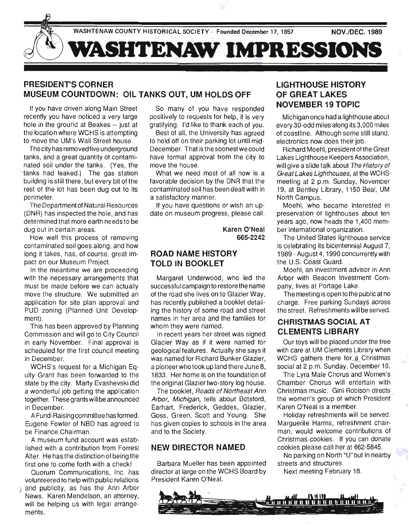

# PRESIDENT'S CORNER MUSEUM COUNTDOWN: OIL TANKS OUT, UM HOLDS OFF

If you have driven along Main Street recently you have noticed a very large hole in the ground at Beakes -- just at the location where WCHS is attempting to move the UM's Wall Street house.

The city has removed five underground tanks, and a great quantity of contaminated soil under the tanks. (Yes, the tanks had leaked.) The gas station building is still there , but every bit of the rest of the lot has been dug out to its perimeter.

The Department of Natural Resources (DNR) has inspected the hole, and has determined that more earth needs to be dug out in certain areas.

How well this process of removing contaminated soil goes along, and how long it takes, has, of course, great impact on our Museum Project.

In the meantime we are proceeding with the necessary arrangements that must be made before we can actually move the structure. We submitted an application for site plan approval and PUD zoning (Planned Unit Development).

This has been approved by Planning Commission and will go to City Council in early November. Final approval is scheduled for the first council meeting in December. .

WCHS's request for a Michigan Equity Grant has been forwarded to the state by the city. Marty Evashevski did a wonderful job getting the application together. These grants will be announced in December.

A Fund-Raising committee has formed. Eugene Fowler of NBD has agreed to be Finance Chairman.

A museum fund account was established with a contribution from Forrest Alter. He has the distinction of being the first one to come forth with a check!

Quorum Communications, Inc. has volunteered to help with public relations ) and publicity, as has the Ann Arbor

News. Karen Mendelson, an attorney, will be helping us with legal arrangements.

So many of you have responded positively to requests for help, it is very gratifying. I'd like to thank each of you.

Best of all, the University has agreed to hold off on their parking lot until mid-December. That is the soonest we could have formal approval from the city to move the house.

What we need most of all now is a favorable decision by the DNR that the contaminated soil has been dealt with in a satisfactory manner.

If you have questions or wish an update on museum progress, please call.

> Karen O'Neal 665·2242

## ROAD NAME HISTORY TOLD IN BOOKLET

Margaret Underwood, who led the successful campaign to restore the name of the road she lives on to Glazier Way, has recently published a booklet detailing the history of some road and street names in her area and the families for whom they were named.

In recent years her street was signed Glacier Way as if it were named for geological features. Actually she says it was named for Richard Bunker Glazier, a pioneer who took up land there June 8, 1833. Her home is on the foundation of the original Glazier two-story log house.

The booklet, Roads of Northeast Ann Arbor, Michigan, tells about Botsford, Earhart, Frederick, Geddes, Glazier, Goss, Green, Scott and Young. She has given copies to schools in the area and to the Society.

### NEW DIRECTOR NAMED

Barbara Mueller has been appointed director at large on the WCHS Board by President Karen O'Neal.

# LIGHTHOUSE HISTORY OF GREAT LAKES NOVEMBER 19 TOPIC

Michigan once had a lighthouse about every 30-odd miles along its 3,000 miles of coastline. Although some still stand, electronics now does their job.

Richard Moehl, president of the Great Lakes Lighthouse Keepers Association, will give a slide talk about The History of Great Lakes Lighthouses, at the WCHS: meeting at 2 p.m, Sunday, November 19, at Bentley Library, 1150 Beal, UM North Campus.

Moehl, who became interested in preservation of lighthouses about ten years ago, now heads the 1,400 member international organization.

The United States lighthouse service is celebrating its bicentennial August 7, 1989 - August 4, 1990 concurrently with the U.S. Coast Guard.

Moehl, an investment advisor in Ann Arbor with Beacon Investment Company, lives at Portage Lake.

The meeting is open to the public at no charge. Free parking Sundays across the street. Refreshments will be served.

## CHRISTMAS SOCIAL AT CLEMENTS LIBRARY

Our toys will be placed under the tree with care at UM Clements Library when WCHS gathers there for a Christmas social at 2 p.m. Sunday, December 10.

The Lyra Male Chorus and Women's Chamber Chorus will entertain with Christmas music. Gini Robison directs the women's group of which President Karen O'Neal is a member.

Holiday refreshments will be served. Marguerite Harms, refreshment chairman, would welcome contributions of Christmas cookies. If you can donate cookies please call her at 662-5845.

No parking on North "U" but in nearby streets and structures.

Next meeting February 18.

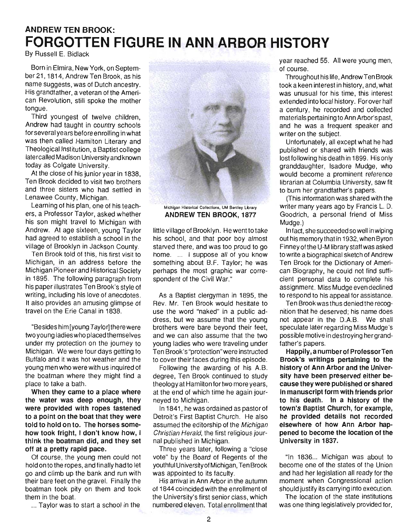# ANDREW TEN BROOK: **FORGOTTEN FIGURE IN ANN ARBOR HISTORY**

By Russell E. Bidlack

Born in Elmira, New York, on September 21, 1814, Andrew Ten Brook, as his name suggests, was of Dutch ancestry. His grandfather, a veteran of the American Revolution, still spoke the mother tongue.

Third youngest of twelve children, Andrew had taught in country schools forseveral years before enrolling in what was then called Hamilton Literary and Theological Institution, a Baptist college latercalled Madison University and known today as Colgate University.

At the close of his junior year in 1838, Ten Brook decided to visit two brothers and three sisters who had settled in Lenawee County, Michigan.

Learning of his plan, one of his teachers, a Professor Taylor, asked whether his son might travel to Michigan with Andrew. At age sixteen, young Taylor had agreed to establish a school in the village of Brooklyn in Jackson County.

Ten Brook told of this, his first visit to Michigan, in an address before the Michigan Pioneer and Historical Society in 1895. The following paragraph from his paper illustrates Ten Brook's style of writing, including his love of anecdotes. It also provides an amusing glimpse of travel on the Erie Canal in 1838.

"Besides him [young Taylor] there were two you ng ladies who placed themselves under my protection on the journey to Michigan. We were four days getting to Buffalo and it was hot weather and the young men who were with us inquired of the boatman where they might find a place to take a bath.

When they came to a place where the water was deep enough, they were provided with ropes fastened to a point on the boat that they were told to hold on to. The horses somehow took fright, I don't know how, I think the boatman did, and they set off at a pretty rapid pace.

Of course, the young men could not hold on to the ropes, and finally had to let go and climb up the bank and run with their bare feet on the gravel. Finally the boatman took pity on them and took them in the boat.

... Taylor was to start a school in the



ANDREW TEN BROOK, 1877

little village of Brooklyn. He went to take his school, and that poor boy almost starved there, and was too proud to go home. ... I suppose all of you know something about B.F. Taylor; he was perhaps the most graphic war correspondent of the Civil War."

As a Baptist clergyman in 1895, the Rev. Mr. Ten Brook would hesitate to use the word "naked" in a public address, but we assume that the young brothers were bare beyond their feet, and we can also assume that the two young ladies who were traveling under Ten Brook's "protection"were instructed to cover their faces during this episode.

Following the awarding of his A.B. degree, Ten Brook continued to study theology at Hamilton for two more years, at the end of which time he again journeyed to Michigan.

In 1841, he was ordained as pastor of Detroit's First Baptist Church. He also assumed the editorship of the Michigan Christian Herald, the first religious journal published in Michigan.

Three years later, following a "close vote" by the Board of Regents of the youthful University of Michigan, Ten Brook was appointed to its faculty.

His arrival in Ann Arbor in the autumn of 1844 coincided with the enrollment of the University's first senior class, which numbered eleven. Total enrollment that year reached 55. All were young men, of course.

Throughout his life, Andrew Ten Brook took a keen interest in history, and, what was unusual for his time, this interest extended into local history. Forover half a century, he recorded and collected materials pertaining to Ann Arbor's past, and he was a frequent speaker and writer on the subject.

Unfortunately, all except what he had published or shared with friends was lost following his death in 1899. His only granddaughter, Isadore Mudge, who would become a prominent reference librarian at Columbia University, saw fit to burn her grandfather's papers.

(This information was shared with the writer many years ago by Francis L. D. Goodrich, a personal friend of Miss Mudge.)

In fact, she succeeded so well in wiping out his memory that in 1932, when Byron Finney of the U-M library staff was asked to write a biographical sketch of Andrew Ten Brook for the Dictionary of American Biography, he could not find sufficient personal data to complete his assignment. Miss Mudge even declined to respond to his appeal for assistance.

Ten Brook was thus denied the recognition that he deserved; his name does not appear in the D.A.B. We shall speculate later regarding Miss Mudge's possible motive in destroying her grandfather's papers.

Happily, a numberof Professor Ten Brook's writings pertaining to the history of Ann Arbor and the University have been preserved either because they were published or shared in manuscript form with friends prior to his death. In a history of the town's Baptist Church, for example, he provided details not recorded elsewhere of how Ann Arbor happened to become the location of the University in 1837.

"In 1836... Michigan was about to become one of the states of the Union and had her legislation all ready for the moment when Congressional action should justify its carrying into execution.

The location of the state institutions was one thing legislatively provided for,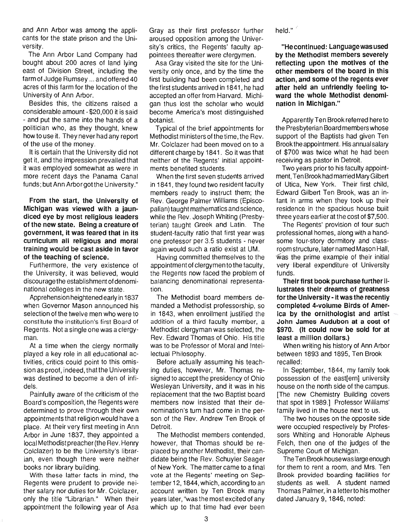and Ann Arbor was among the applicants for the state prison and the University.

The Ann Arbor Land Company had bought about 200 acres of land lying east of Division Street, including the farm of Judge Rumsey ... and offered 40 acres of this farm for the location of the University of Ann Arbor.

Besides this, the citizens raised a considerable amount - \$20,000 it is said - and put the same into the hands of a politician who, as they thought, knew how to use it. They never had any report of the use of the money.

It is certain that the University did not get it, and the impression prevailed that it was employed somewhat as were in more recent days the Panama Canal funds; but Ann Arbor got the University."

From the start, the University of Michigan was viewed with a jaundiced eye by most religious leaders of the new state. Being a creature of government, it was feared that in its curriculum all religious and moral training would be cast aside in favor of the teaching of science.

Furthermore, the very existence of the University, it was believed, would discourage the establishment of denominational colleges in the new state.

Apprehension heightened early in 1837 when Governor Mason announced his selection of the twelve men who were to constitute the institution's first Board of Regents. Not a single one was a clergyman.

At a time when the clergy normally played a key role in all educational activities, critics could point to this omission as proof, indeed, that the University was destined to become a den of infidels.

Painfully aware of the criticism of the Board's composition, the Regents were determined to prove through their own appointments that religion would have a place. At their very first meeting in Ann Arbor in June 1837, they appointed a local Methodist preacher (the Rev. Henry Colclazer) to be the University's librarian, even though there were neither books nor library building.

With these latter facts in mind, the Regents were prudent to provide neither salary nor duties for Mr. Colclazer, only the title "Librarian." When their appointment the following year of Asa

Gray as their first professor further aroused opposition among the University's critics, the Regents' faculty appointees thereafter were clergymen.

Asa Gray visited the site for the University only once, and by the time the first building had been completed and the first students arrived in 1841 , he had accepted an offer from Harvard. Michigan thus lost the scholar who would become America's most distinguished botanist.

Typical of the brief appointments for Methodist ministers of the time, the Rev. Mr. Colclazer had been moved on to a different charge by 1841. So it was that neither of the Regents' initial appointments benefited students.

When the first seven students arrived in 1841, they found two resident faculty members ready to instruct them; the Rev. George Palmer Williams (Episcopalian) taught mathematics and science, while the Rev. Joseph Whiting (Presbyterian) taught Greek and Latin. The student-faculty ratio that first year was one professor per 3.5 students - never again would such a ratio exist at UM.

Having committed themselves to the appointment of clergymen to the faculty, the Regents now faced the problem of balancing denominational representation.

The Methodist board members demanded a Methodist professorship, so in 1843, when enrollment justified the addition of a third faculty member, a Methodist clergyman was selected, the Rev. Edward Thomas of Ohio. His title was to be Professor of Moral and Intellectual Philosophy.

Before actually assuming his teaching duties, however, Mr. Thomas resigned to accept the presidency of Ohio Wesleyan University, and it was in his replacement that the two Baptist board members now insisted that their denomination's turn had come in the person of the Rev. Andrew Ten Brook of Detroit.

The Methodist members contended, however, that Thomas should be replaced by another Methodist, their candidate being the Rev. Schuyler Seager of New York. The matter came to a final vote at the Regents' meeting on September 12, 1844, which, according to an account written by Ten Brook many years later, "was the most excited of any which up to that time had ever been held."

"He continued: Language was used by the Methodist members severely reflecting upon the motives of the other members of the board in this action, and some of the regents ever after held an unfriendly feeling toward the whole Methodist denomination in Michigan."

Apparently Ten Brook referred here to the Presbyterian Board members whose support of the Baptists had given Ten Brook the appointment. His annual salary of \$700 was twice what he had been receiving as pastor in Detroit.

Two years prior to his faculty appointment, Ten Brook had married Mary Gilbert of Utica, New York. Their first child, Edward Gilbert Ten Brook, was an infant in arms when they took up their residence in the spacious house built three years earlier at the cost of \$7,500.

The Regents' provision of four such professional homes, along with a handsome four-story dormitory and classroom structure, later named Mason Hall, was the prime example of their initial very liberal expenditure of University funds.

Their first book purchase further illustrates their dreams of greatness for the University - it was the recently completed 4-volume Birds of America by the ornithologist and artist John James Audubon at a cost of \$970. (It could now be sold for at least a million dollars.)

When writing his history of Ann Arbor between 1893 and 1895, Ten Brook recalled:

In September, 1844, my family took possession of the east[ern] university house on the north side of the campus. [The new Chemistry Building covers that spot in 1989.] Professor Williams' family lived in the house next to us.

The two houses on the opposite side were occupied respectively by Professors Whiting and Honorable Alpheus Felch, then one of the judges of the Supreme Court of Michigan.

The Ten Brook house was large enough for them to rent a room, and Mrs. Ten Brook provided boarding facilities for students as well. A student named Thomas Palmer, in a letterto his mother dated January 9, 1846, noted: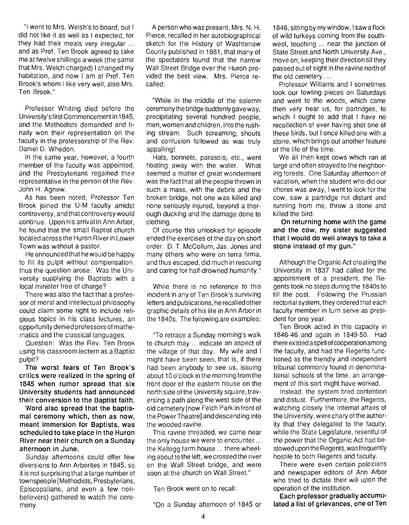"I went to Mrs. Welsh's to board, but I did not like it as well as I expected, for they had their meals very irregular ... and as Prof. Ten Brook agreed to take me at twelve shillings a week (the same that Mrs. Welch charged) I changed my habitation, and now I am at Prof. Ten Brook's whom I like very well, also Mrs. Ten Brook."

Professor Whiting died before the University's first Commencement in 1845, and the Methodists demanded and finally won their representation on the faculty in the professorship of the Rev. Daniel D. Whedon.

In the same year, however, a fourth member of the faculty was appointed, and the Presbyterians regained their representative in the person of the Rev. John H. Agnew.

As has been noted, Professor Ten Brook joined the U-M faculty amidst controversy, andthat controversywould continue. Upon his arrival in Ann Arbor, he found that the small Baptist church located across the Huron River in Lower Town was without a pastor.

He announced that he would be happy to fill its pulpit without compensation. thus the question arose: Was the University supplying the Baptists with a local minister free of charge?

There was also the fact that a professor of moral and intellectual philosophy could claim some right to include religious topics in his class lectures, an opportunity denied professors of mathematics and the classical languages.

Question: Was the Rev. Ten Brook using his classroom lectern as a Baptist pulpit?

**The worst fears of Ten Brook's critics were realized in the spring of 1845 when rumor spread that six University students had announced their conversion to the Baptist faith.** 

**Word also spread that the baptismal ceremony which, then as now, meant immersion for Baptists, was scheduled to take place in the Huron River near their church on a Sunday afternoon in June.** 

Sunday afternoons could offer few diversions to Ann Arborites in 1845, so it is not surprising that a large number of townspeople (Methodists, Presbyterians, Episcopalians, and even a few nonbelievers) gathered to watch the ceremony.

A person who was present, Mrs. N. H. Pierce, recalled in her autobiographical sketch for the History of Washtenaw County published in 1881, that many of the spectators found that the narrow Wall Street Bridge over the Huron provided the best view. Mrs. Pierce recalled:

"While in the middle of the solemn ceremony the bridge suddenly gave way, preCipitating several hundred people, men, women and children, into the rushing stream. Such screaming, shouts and confusion followed as was truly appalling!

Hats, bonnets, parasols, etc., went floating away with the water. What seemed a matter of great wonderment was the fact that all the people thrown in such a mass, with the debris and the broken bridge, not one was killed and none seriously injured, beyond a thorough ducking and the damage done to clothing.

Of course this unlooked for episode ended the exercises of the day on short order. D. T. McCollum, Jas. Jones and many others who were on terra firma, and thus escaped, did much in rescuing and caring for half-drowned humanity."

While there is no reference to this incident in any of Ten Brook's surviving letters and publications, he recalled other graphic details of his life in Ann Arbor in the 1840s. The following are examples:

"To retrace a Sunday morning's walk to church may ... indicate an aspect of the village of that day. My wife and I might have been seen, that is, if there had been anybody to see us, issuing about 10 o'clock in the morning from the front door of the eastern house on the north side of the University square, traversing a path along the west side of the old cemetery [now Felch Park in front of the Power Theatrel and descending into the wooded ravine .

This ravine threaded, we came near the only house we were to encounter ... the Kellogg farm house ... there wheeling about to the left, we crossed the river on the Wall Street bridge, and were soon at the church on Wall Street."

Ten Brook went on to recall:

"On a Sunday afternoon of 1845 or

1846, sitting by my window, I saw a flock of wild turkeys coming from the southwest, touching ... near the junction of State Street and North University Ave., move on, keeping their direction till they passed out of sight in the ravine north of the old cemetery. ...

Professor Williams and I sometimes took our fowling pieces on Saturdays and went to the woods, which came then very near us, for partridges, to which I ought to add that I have no recollection of ever having shot one of these birds, but I once killed one with a stone, which brings out another feature of the life of the time.

We all then kept cows which ran at large and often strayed to the neighboring forests. One Saturday afternoon of vacation, when the student who did our chores was away, I went to look for the cow, saw a partridge not distant and running from me, threw a stone and killed the bird.

**On returning home with the game and the cow, my Sister suggested that I would do well always to take a stone instead of my gun."** 

Although the Organic Act creating the University in 1837 had called for the appointment of a president, the Regents took no steps during the 1840s to fill the post. Following the Prussian rectorial system, they ordered that each faculty member in turn serve as president for one year.

Ten Brook acted in this capacity in 1846-46 and again in 1849-50. Had there existed a spirit of cooperation among the faculty, and had the Regents functioned as the friendly and independent tribunal commonly found in denominational schools of the time, an arrangement of this sort might have worked.

Instead, the system bred contention and distust. Furthermore, the Regents, watching closely the Internal affairs of the University, were chary of the authority that they delegated to the faculty, while the State Legislature, resentful of the power that the Organic Act had bestowed upon the Regents, was frequently hostile to both Regents and faculty.

There were even certain politicians and newspaper editors of Ann Arbor who tried to dictate their will upon the operation of the institution.

**Each professor gradually accumulated a list of grievances, one of Ten**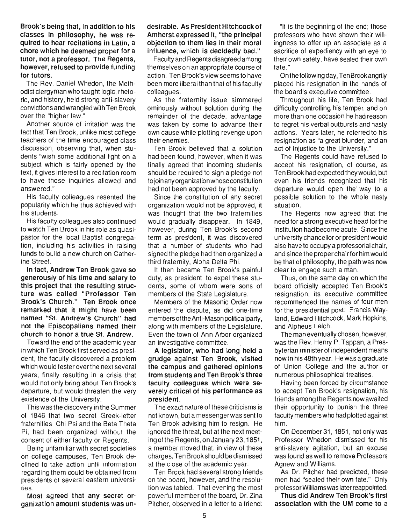Brook's being that, in addition to his classes in philosophy, he was required to hear recitations in Latin, a chore which he deemed proper for a tutor, not a professor. The Regents, however, refused to provide funding for tutors.

The Rev. Daniel Whedon, the Methodist clergyman who taught logic, rhetoric, and history , held strong anti-slavery convictions and wrangled with Ten Brook over the "higher law."

Another source of irritation was the fact that Ten Brook, unlike most college teachers of the time encouraged class discussion, observing that, when students ''wish some additional light on a subject which is fairly opened by the text, it gives interest to a recitation room to have those inquiries allowed and answered."

His faculty colleagues resented the popularity which he thus achieved with his students.

His faculty colleagues also continued to watch Ten Brook in his role as quasipastor for the local Baptist congregation, including his activities in raising funds to build a new church on Catherine Street.

In fact, Andrew Ten Brook gave so generously of his time and salary to this project that the resulting structure was called "Professor Ten Brook's Church." Ten Brook once remarked that it might have been named "St. Andrew's Church" had not the Episcopalians named their church to honor a true St. Andrew.

Toward the end of the academic year in which Ten Brook first served as president, the faculty discovered a problem which would fester over the next several years, finally resulting in a crisis that would not only bring about Ten Brook's departure, but would threaten the very existence of the University.

This was the discovery in the Summer of 1846 that two secret Greek-letter fraternities, Chi Psi and the Beta Theta Pi, had been organized without the consent of either faculty or Regents.

Being unfamiliar with secret societies on college campuses, Ten Brook declined to take action until information regarding them could be obtained from preSidents of several eastern universities.

Most agreed that any secret organization amount students was un-

#### desirable. As President Hitchcock of Amherst.expressed it, "the principal objection to them lies in their moral influence, which is decidedly bad."

Faculty and Regents disagreed among themselves on an appropriate course of action. Ten Brook's view seems to have been more liberal than that of his faculty colleagues.

As the fraternity issue simmered ominously without solution during the remainder of the decade, advantage was taken by some to advance their own cause while plotting revenge upon their enemies.

Ten Brook believed that a solution had been found, however, when it was finally agreed that incoming students should be required to sign a pledge not to join any organization whose constitution had not been approved by the faculty.

Since the constitution of any secret organization would not be approved, it was thought that the two fraternities would gradually disappear. In 1849, however, during Ten Brook's second term as preSident, it was discovered that a number of students who had signed the pledge had then organized a third fraternity, Alpha Delta Phi.

It then became Ten Brook's painful duty, as preSident, to expel these students, some of whom were sons of members of the State Legislature.

Members of the Masonic Order now entered the dispute, as did one-time members of the Anti-Mason political party, along with members of the Legislature. Even the town of Ann Arbor organized an investigative committee.

A legislator, who had long held a grudge against Ten Brook, visited the campus and gathered opinions from students and Ten Brook's three faculty colleagues which were severely critical of his performance as president.

The exact nature of these criticisms is not known, but a messengerwas sent to Ten Brook advising him to resign. He ignored the threat, but at the next meeting ofthe Regents, onJanuary 23,1851, a member moved that, in view of these charges, Ten Brook should be dismissed at the close of the academic year.

Ten Brook had several strong friends on the board, however, and the resolution was tabled. That evening the most powerful member of the board, Dr. Zina Pitcher, observed in a letter to a friend:

"It is the beginning of the end; those professors who have shown their willingness to offer up an associate as a sacrifice of expediency with an eye to their own safety, have sealed their own fate."

On the following day, Ten Brook angrily placed his resignation in the hands of the board's executive committee.

Throughout his life, Ten Brook had difficulty controlling his temper, and on more than one occasion he had reason to regret his verbal outbursts and hasty actions. Years later, he referred to his resignation as "a great blunder, and an act of injustice to the University."

The Regents could have refused to accept his resignation, of course, as Ten Brook had expected theywould, but even his friends recognized that his departure would open the way to a possible solution to the whole nasty situation.

The Regents now agreed that the need for a strong executive head for the institution had become acute. Since the university chancellor or president would also have to occupy a professorial chair, and since the proper chair for him would be that of philosophy, the path was now clear to engage such a man.

Thus, on the same day on which the board officially accepted Ten Brook's reSignation, its executive committee recommended the names of four men for the presidential post: Francis Wayland, Edward Hitchcock, Mark Hopkins, and Alpheus Felch.

The man eventually chosen, however, was the Rev. Henry P. Tappan, a Presbyterian ministerof independent means now in his 48th year. He was a graduate of Union College and the author or numerous philosophical treatises.

Having been forced by circumstance to accept Ten Brook's resignation, his friends among the Regents now awaited their opportunity to punish the three faculty members who had plotted against him.

On December31, 1851, not only was Professor Whedon dismissed for his anti-slavery agitation, but an excuse was found as well to remove Professors Agnew and Williams.

As Dr. Pitcher had predicted, these men had "sealed their own fate." Only professor Williams was later reappointed.

Thus did Andrew Ten Brook's first association with the UM come to a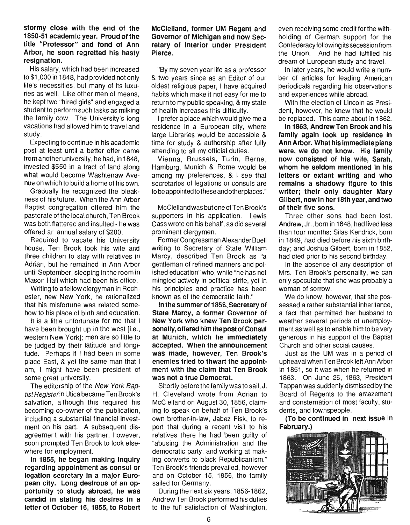#### stormy close with the end of the 1850-51 academic year. Proud of the title "Professor" and fond of Ann Arbor, he soon regretted his hasty resignation.

His salary, which had been increased to \$1 ,000 in 1848, had provided not only life's necessities, but many of its luxuries as well. Like other men of means, he kept two "hired girls" and engaged a student to perform such tasks as milking the family cow. The University's long vacations had allowed him to travel and study.

Expecting to continue in his academic post at least until a better offer came from another university, he had, in 1848, invested \$550 in a tract of land along what would become Washtenaw Avenue on which to build a home of his own.

Gradually he recognized the bleakness of his future. When the Ann Arbor Baptist congregation offered him the pastorate of the local church, Ten Brook was both flattered and insulted - he was offered an annual salary of \$200.

Required to vacate his University house, Ten Brook took his wife and three children to stay with relatives in Adrian, but he remained in Ann Arbor until September, sleeping in the room in Mason Hall which had been his office.

Writing to a fellow clergyman in Rochester, new New York, he rationalized that his misfortune was related somehow to his place of birth and education.

It is a little unfortunate for me that I have been brought up in the west [i.e., western New York]; men are so little to be judged by their latitude and longitude. Perhaps if I had been in some place East, & yet the same man that I am, I might have been president of some great university.

The editorship of the New York Baptist Registerin Utica became Ten Brook's salvation, although this required his becoming co-owner of the publication, including a substantial financial investment on his part. A subsequent disagreement with his partner, however, soon prompted Ten Brook to look elsewhere for employment.

In 1855, he began making inquiry regarding appointment as consul or legation secretary In a major European city. Long desirous of an opportunity to study abroad, he was candid in stating his desires in a letter of October 16, 1855, to Robert

#### McClelland, former UM Regent and Governor of Michigan and now Secretary of Interior under President Pierce.

"By my seven year life as a professor & two years since as an Editor of our oldest religious paper, I have acquired habits which make it not easy for me to return to my public speaking, & my state of health increases this difficulty.

I prefer a place which would give me a residence in a European city, where large Libraries would be accessible & time for study & authorship after fully attending to all my official duties.

Vienna, Brussels, Turin, Berne, Hamburg, Munich & Rome would be among my preferences, & I see that secretaries of legations or consuls are to be appointed to these and otherplaces."

McClelland was but one of Ten Brook's supporters in his application. Lewis Cass wrote on his behalf, as did several prominent clergymen.

Former Congressman Alexander Buell writing to Secretary of State William Marcy, described Ten Brook as "a gentleman of refined manners and polished education" who, while "he has not mingled actively in political strife, yet in his principles and practice has been known as of the democratic faith."

In the summer of 1856, Secretary of State Marcy, a former Governor of New York who knew Ten Brook personally, offered him the post of Consul at Munich, which he immediately accepted. When the announcement was made, however, Ten Brook's enemies tried to thwart the appointment with the claim that Ten Brook was not a true Democrat.

Shortly before the family was to sail, J. H. Cleveland wrote from Adrian to McClelland on August 30, 1856, claiming to speak on behalf of Ten Brook's own brother-in-law, Jabez Fisk, to report that during a recent visit to his relatives there he had been guilty of "abusing the Administration and the democratic party, and working at making converts to black Republicanism." Ten Brook's friends prevailed, however and on October 15, 1856, the family sailed for Germany.

During the next six years, 1856-1862, Andrew Ten Brook performed his duties to the full satisfaction of Washington, even receiving some credit forthe withholding of German support for the Confederacy following its secession from the Union. And he had fulfilled his dream of European study and travel.

In later years, he would write a number of articles for leading American periodicals regarding his observations and experiences while abroad.

With the election of Lincoln as President, however, he knew that he would be replaced. This came about in 1862.

In 1863, Andrew Ten Brook and his family again took up residence in Ann Arbor. What his immediate plans were, we do not know. His family now consisted of his wife, Sarah, whom he seldom mentioned in his letters or extant writing and who remains a shadowy figure to this writer; their only daughter Mary Gilbert, now in her 18th year, and two of their five sons.

Three other sons had been lost. Andrew, Jr., born in 1848, had lived less than four months; Silas Kendrick, born in 1849, had died before his sixth birthday; and Joshua Gilbert, born in 1852, had died prior to his second birthday.

In the absence of any description of Mrs. Ten Brook's personality, we can only speculate that she was probably a woman of sorrow.

We do know, however, that she possessed a rather substantial inheritance, a fact that permitted her husband to weather several periods of unemployment as well as to enable him to be very generous in his support of the Baptist Church and other social causes.

Just as the UM was in a period of upheaval when Ten Brook left Ann Arbor in 1851, so it was when he returned in 1863. On June 25, 1863, President Tappan was suddenly dismissed by the Board of Regents to the amazement and consternation of most faculty, students, and townspeople.

(To be continued In next issue in February.)

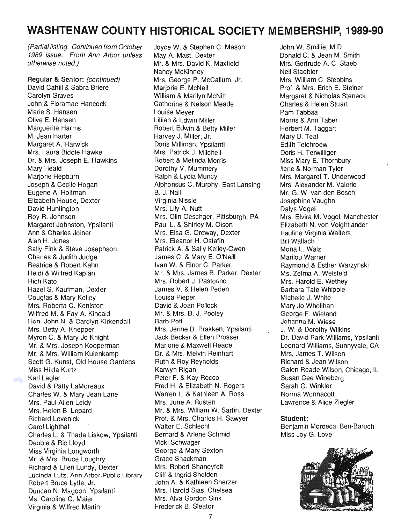# **WASHTENAW COUNTY HISTORICAL SOCIETY MEMBERSHIP, 1989-90**

(Partial listing. Continued from October 1989 issue. From Ann Arbor unless otherwise noted.)

**Regular & Senior:** (continued) David Cahill & Sabra Briere Carolyn Graves John & Floramae Hancock Marie S. Hansen Olive E. Hansen Marguerite Harms M. Jean Harter Margaret A. Harwick Mrs. Laura Biddle Hawke Dr. & Mrs. Joseph E. Hawkins Mary Heald Marjorie Hepburn Joseph & Cecile Hogan Eugene A. Holtman Elizabeth House, Dexter David Huntington Roy R. Johnson Margaret Johnston, Ypsilanti Ann & Charles Joiner Alan H. Jones Sally Fink & Steve Josephson Charles & Judith Judge Beatrice & Robert Kahn Heidi & Wilfred Kaplan Rich Kato Hazel S. Kaufman, Dexter Douglas & Mary Kelley Mrs. Roberta C. Keniston Wilfred M. & Fay A. Kincaid Hon. John N. & Carolyn Kirkendall Mrs. Betty A. Knepper Myron C. & Mary Jo Knight Mr. & Mrs. Joseph Kooperman Mr. & Mrs. William Kulenkamp Scott G. Kunst, Old House Gardens Miss Hilda Kurtz Karl Lagler David & Patty LaMoreaux Charles W. & Mary Jean Lane Mrs. Paul Allen Leidy Mrs. Helen B. Lepard Richard Levenick Carol Lighthall Charles L. & Thada Liskow, Ypsilanti Debbie & Ric Lloyd Miss Virginia Longworth Mr. & Mrs. Bruce Loughry Richard & Ellen Lundy, Dexter Lucinda Lutz. Ann Arbor.Public Library Robert Bruce Lytle, Jr. Duncan N. Magoon, Ypsilanti Ms. Caroline C. Maier Virginia & Wilfred Martin

per la

Joyce W. & Stephen C. Mason May A. Mast, Dexter Mr. & Mrs. David K. Maxfield Nancy McKinney Mrs. George P. McCallum, Jr. Mariorie E. McNeil William & Marilyn McNitt Catherine & Nelson Meade Louise Meyer Lillian & Edwin Miller Robert Edwin & Betty Miller Harvey J. Miller, Jr. Doris Milliman, Ypsilanti Mrs. Patrick J. Mitchell Robert & Melinda Morris Dorothy V. Mummery Ralph & Lydia Muncy Alphonsus C. Murphy, East Lansing B. J. Nalli Virginia Nissle Mrs. Lily A. Nutt Mrs. Olin Oeschger, Pittsburgh, PA Paul L. & Shirley M. Olson Mrs. Elsa G. Ordway, Dexter Mrs. Eleanor H. Ostafin Patrick A. & Sally Kelley-Owen James C. & Mary E. O'Neill Ivan W. & Elnor C. Parker Mr. & Mrs. James B. Parker, Dexter Mrs. Robert J. Pastorino James V. & Helen Peden Louisa Pieper David & Joan Pollock Mr. & Mrs. B. J. Pooley Barb Pott Mrs. Jerine D. Prakken, Ypsilanti Jack Becker & Ellen Prosser Marjorie & Maxwell Reade Dr. & Mrs. Melvin Reinhart Ruth & Roy Reynolds Karwyn Rigan Peter F. & Kay Rocco Fred H. & Elizabeth N. Rogers Warren L. & Kathleen A. Ross Mrs. June A. Rusten Mr. & Mrs. William W. Sartin, Dexter Prof. & Mrs. Charles H. Sawyer Walter E. Schlecht Bernard & Arlene Schmid Vicki Schwager George & Mary Sexton Grace Shackman Mrs. Robert Shaneyfelt Cliff & Ingrid Sheldon John A. & Kathleen Sherzer Mrs. Harold Sias, Chelsea Mrs. Alva Gordon Sink Frederick B. Sleator

John W. Smillie, M.D. Donald C. & Jean M. Smith Mrs. Gertrude A. C. Staeb Neil Staebler Mrs. William C. Stebbins Prof. & Mrs. Erich E. Steiner Margaret & Nicholas Steneck Charles & Helen Stuart Pam Tabbaa Morris & Ann Taber Herbert M. Taggart Mary D. Teal Edith Teichroew Doris H. Terwilliger Miss Mary E. Thornbury Ilene & Norman Tyler Mrs. Margaret T. Underwood Mrs. Alexander M. Valerio Mr. G. W. van den Bosch Josephine Vaughn Dalys Vogel Mrs. Elvira M. Vogel, Manchester Elizabeth N. von Voightlander Pauline Virginia Walters Bill Wallach Mona L. Walz Marilou Warner Raymond & Esther Warzynski Ms. Zelma A. Weisfeld Mrs. Harold E. Wethey Barbara Tate Whipple Michelle J. White Mary Jo Wholihan George F. Wieland Johanna M. Wiese J. W. & Dorothy Wilkins Dr. David Park Williams, Ypsilanti Leonard Williams, Sunnyvale, CA Mrs. James T. Wilson Richard & Jean Wilson Galen Reade Wilson, Chicago, IL Susan Cee Wineberg Sarah G. Winkler Norma Wonnacott Lawrence & Alice Ziegler

#### **Student:**

Benjamin Mordecai Ben-Baruch Miss Joy G. Love